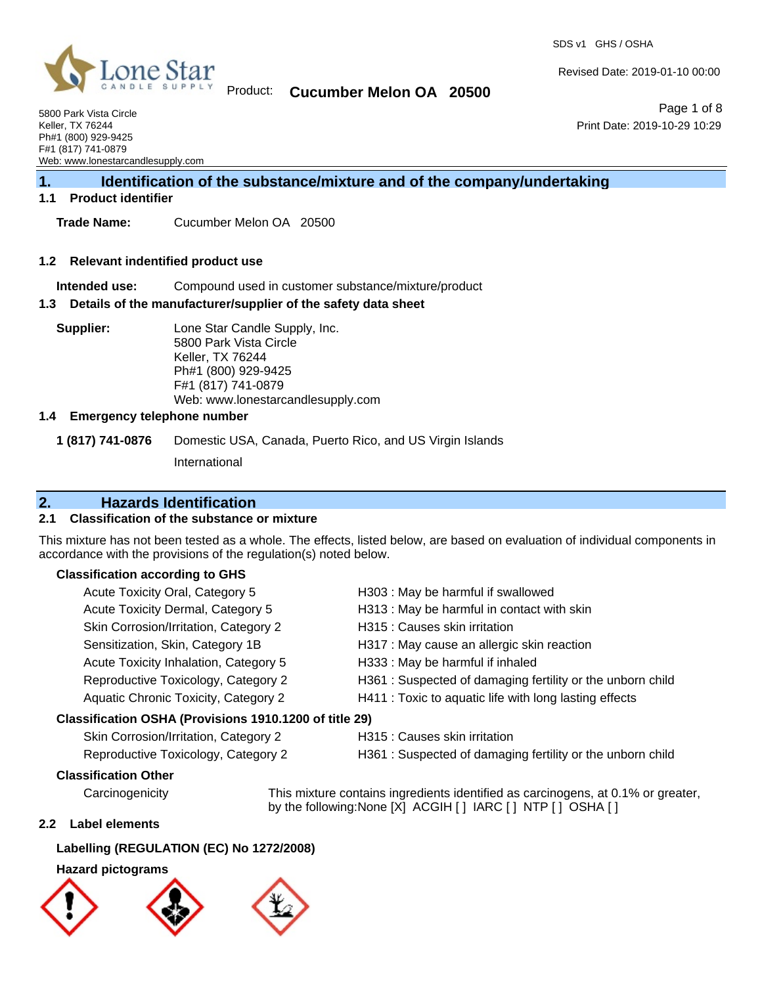

### Product: **Cucumber Melon OA 20500**

Revised Date: 2019-01-10 00:00

5800 Park Vista Circle Keller, TX 76244 Ph#1 (800) 929-9425 F#1 (817) 741-0879 Web: www.lonestarcandlesupply.com

Page 1 of 8 Print Date: 2019-10-29 10:29

# **1. Identification of the substance/mixture and of the company/undertaking**

#### **1.1 Product identifier**

**Trade Name:** Cucumber Melon OA 20500

#### **1.2 Relevant indentified product use**

**Intended use:** Compound used in customer substance/mixture/product

#### **1.3 Details of the manufacturer/supplier of the safety data sheet**

**Supplier:** Lone Star Candle Supply, Inc. 5800 Park Vista Circle Keller, TX 76244 Ph#1 (800) 929-9425 F#1 (817) 741-0879 Web: www.lonestarcandlesupply.com

#### **1.4 Emergency telephone number**

**1 (817) 741-0876** Domestic USA, Canada, Puerto Rico, and US Virgin Islands

International

#### **2. Hazards Identification**

#### **2.1 Classification of the substance or mixture**

This mixture has not been tested as a whole. The effects, listed below, are based on evaluation of individual components in accordance with the provisions of the regulation(s) noted below.

#### **Classification according to GHS**

| Acute Toxicity Oral, Category 5                        | H303: May be harmful if swallowed                         |
|--------------------------------------------------------|-----------------------------------------------------------|
| Acute Toxicity Dermal, Category 5                      | H313 : May be harmful in contact with skin                |
| Skin Corrosion/Irritation, Category 2                  | H315 : Causes skin irritation                             |
| Sensitization, Skin, Category 1B                       | H317 : May cause an allergic skin reaction                |
| Acute Toxicity Inhalation, Category 5                  | H333: May be harmful if inhaled                           |
| Reproductive Toxicology, Category 2                    | H361: Suspected of damaging fertility or the unborn child |
| Aquatic Chronic Toxicity, Category 2                   | H411 : Toxic to aquatic life with long lasting effects    |
| Classification OSHA (Provisions 1910.1200 of title 29) |                                                           |
| Skin Corrosion/Irritation, Category 2                  | H315 : Causes skin irritation                             |
|                                                        |                                                           |

Reproductive Toxicology, Category 2 H361 : Suspected of damaging fertility or the unborn child

#### **Classification Other**

Carcinogenicity This mixture contains ingredients identified as carcinogens, at 0.1% or greater, by the following:None [X] ACGIH [] IARC [] NTP [] OSHA []

#### **2.2 Label elements**

#### **Labelling (REGULATION (EC) No 1272/2008)**

#### **Hazard pictograms**

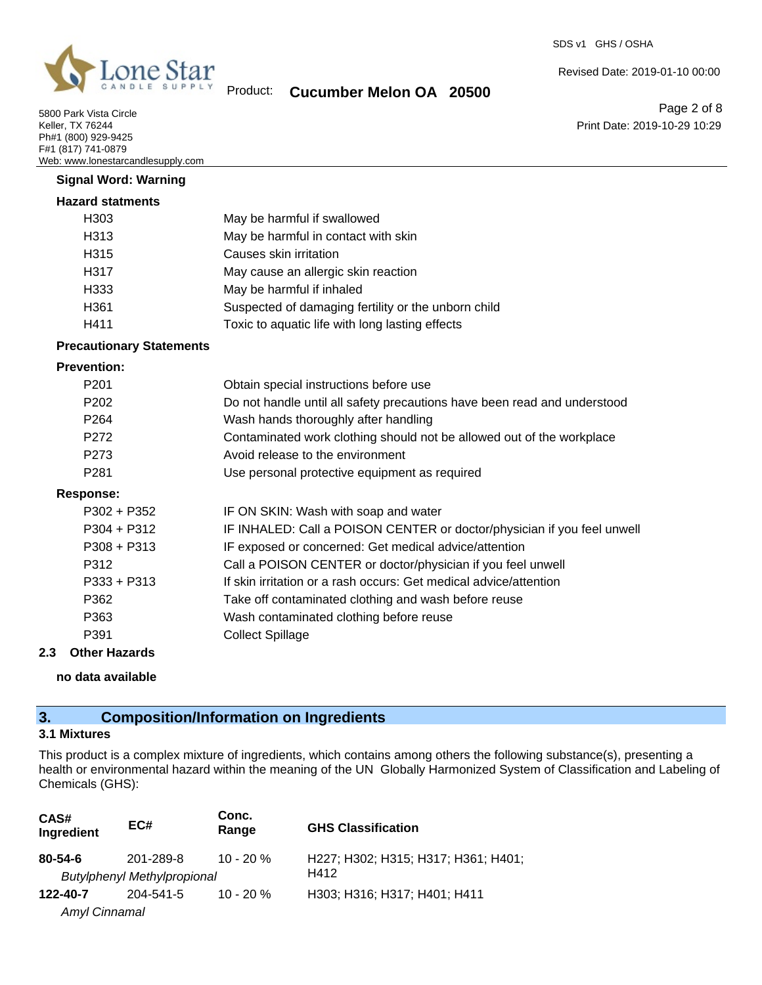

5800 Park Vista Circle Keller, TX 76244 Ph#1 (800) 929-9425 F#1 (817) 741-0879 Web: www.lonestarcandlesupply.com

**Signal Word: Warning**

Revised Date: 2019-01-10 00:00

Product: **Cucumber Melon OA 20500**

Page 2 of 8 Print Date: 2019-10-29 10:29

| <b>Hazard statments</b> |                                                     |
|-------------------------|-----------------------------------------------------|
| H303                    | May be harmful if swallowed                         |
| H313                    | May be harmful in contact with skin                 |
| H <sub>315</sub>        | Causes skin irritation                              |
| H317                    | May cause an allergic skin reaction                 |
| H333                    | May be harmful if inhaled                           |
| H361                    | Suspected of damaging fertility or the unborn child |
| H411                    | Toxic to aquatic life with long lasting effects     |

#### **Precautionary Statements**

#### **Prevention:**

| P <sub>201</sub> | Obtain special instructions before use                                   |
|------------------|--------------------------------------------------------------------------|
| P <sub>202</sub> | Do not handle until all safety precautions have been read and understood |
| P <sub>264</sub> | Wash hands thoroughly after handling                                     |
| P272             | Contaminated work clothing should not be allowed out of the workplace    |
| P273             | Avoid release to the environment                                         |
| P281             | Use personal protective equipment as required                            |
| Response:        |                                                                          |
| P302 + P352      | IF ON SKIN: Wash with soap and water                                     |
| P304 + P312      | IF INHALED: Call a POISON CENTER or doctor/physician if you feel unwell  |
| $P308 + P313$    | IF exposed or concerned: Get medical advice/attention                    |
| P312             | Call a POISON CENTER or doctor/physician if you feel unwell              |
| $P333 + P313$    | If skin irritation or a rash occurs: Get medical advice/attention        |
| P362             | Take off contaminated clothing and wash before reuse                     |
| P363             | Wash contaminated clothing before reuse                                  |
| P391             | <b>Collect Spillage</b>                                                  |
|                  |                                                                          |

### **2.3 Other Hazards**

**no data available**

# **3. Composition/Information on Ingredients**

#### **3.1 Mixtures**

This product is a complex mixture of ingredients, which contains among others the following substance(s), presenting a health or environmental hazard within the meaning of the UN Globally Harmonized System of Classification and Labeling of Chemicals (GHS):

| CAS#<br>Ingredient | EC#                                | Conc.<br>Range | <b>GHS Classification</b>                   |
|--------------------|------------------------------------|----------------|---------------------------------------------|
| $80 - 54 - 6$      | 201-289-8                          | $10 - 20 \%$   | H227; H302; H315; H317; H361; H401;<br>H412 |
|                    | <b>Butylphenyl Methylpropional</b> |                |                                             |
| 122-40-7           | 204-541-5                          | $10 - 20 \%$   | H303; H316; H317; H401; H411                |
| Amyl Cinnamal      |                                    |                |                                             |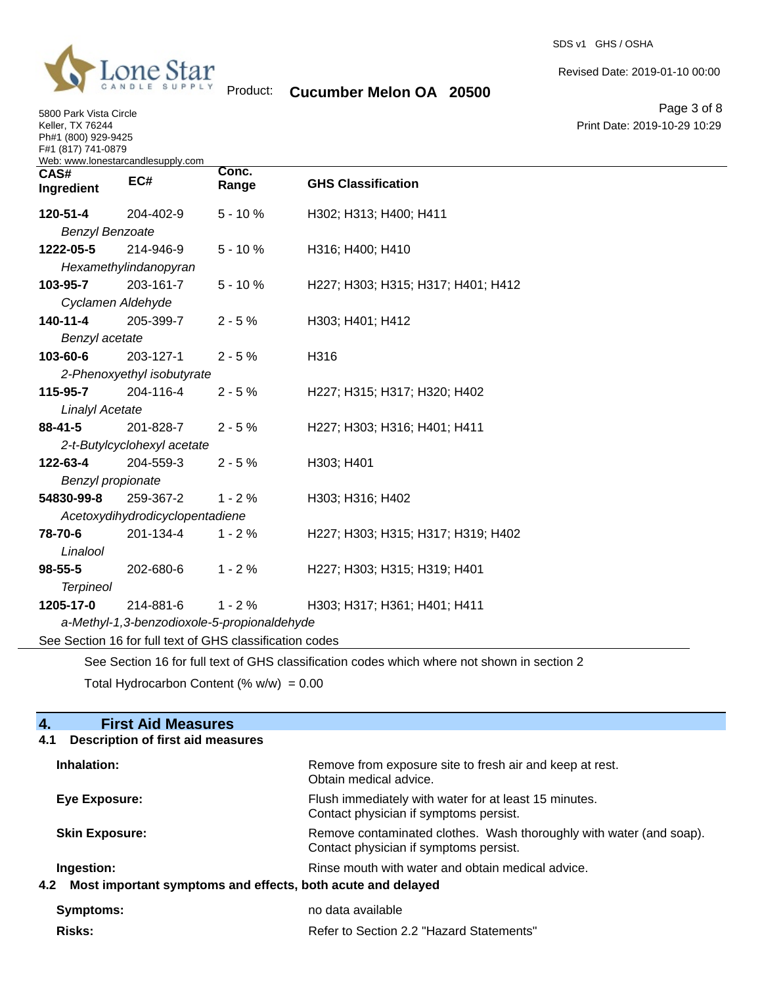

5800 Park Vista Circle Keller, TX 76244 Ph#1 (800) 929-9425

Ĭ.

Product: **Cucumber Melon OA 20500**

SDS v1 GHS / OSHA

Revised Date: 2019-01-10 00:00

Page 3 of 8 Print Date: 2019-10-29 10:29

| F#1 (817) 741-0879     | Web: www.lonestarcandlesupply.com                        |                |                                                                                             |
|------------------------|----------------------------------------------------------|----------------|---------------------------------------------------------------------------------------------|
| CAS#<br>Ingredient     | EC#                                                      | Conc.<br>Range | <b>GHS Classification</b>                                                                   |
| 120-51-4               | 204-402-9                                                | $5 - 10%$      | H302; H313; H400; H411                                                                      |
| <b>Benzyl Benzoate</b> |                                                          |                |                                                                                             |
| 1222-05-5              | 214-946-9                                                | $5 - 10%$      | H316; H400; H410                                                                            |
|                        | Hexamethylindanopyran                                    |                |                                                                                             |
| 103-95-7               | 203-161-7                                                | $5 - 10%$      | H227; H303; H315; H317; H401; H412                                                          |
|                        | Cyclamen Aldehyde                                        |                |                                                                                             |
| $140 - 11 - 4$         | 205-399-7                                                | $2 - 5%$       | H303; H401; H412                                                                            |
| Benzyl acetate         |                                                          |                |                                                                                             |
| 103-60-6               | 203-127-1                                                | $2 - 5%$       | H316                                                                                        |
|                        | 2-Phenoxyethyl isobutyrate                               |                |                                                                                             |
| 115-95-7               | 204-116-4                                                | $2 - 5%$       | H227; H315; H317; H320; H402                                                                |
| <b>Linalyl Acetate</b> |                                                          |                |                                                                                             |
| $88 - 41 - 5$          | 201-828-7                                                | $2 - 5%$       | H227; H303; H316; H401; H411                                                                |
|                        | 2-t-Butylcyclohexyl acetate                              |                |                                                                                             |
| 122-63-4               | 204-559-3                                                | $2 - 5%$       | H303; H401                                                                                  |
| Benzyl propionate      |                                                          |                |                                                                                             |
| 54830-99-8             | 259-367-2                                                | $1 - 2%$       | H303; H316; H402                                                                            |
|                        | Acetoxydihydrodicyclopentadiene                          |                |                                                                                             |
| 78-70-6                | 201-134-4                                                | $1 - 2%$       | H227; H303; H315; H317; H319; H402                                                          |
| Linalool               |                                                          |                |                                                                                             |
| $98 - 55 - 5$          | 202-680-6                                                | $1 - 2%$       | H227; H303; H315; H319; H401                                                                |
| <b>Terpineol</b>       |                                                          |                |                                                                                             |
| 1205-17-0              | 214-881-6                                                | $1 - 2%$       | H303; H317; H361; H401; H411                                                                |
|                        | a-Methyl-1,3-benzodioxole-5-propionaldehyde              |                |                                                                                             |
|                        | See Section 16 for full text of GHS classification codes |                |                                                                                             |
|                        |                                                          |                | See Section 16 for full text of GHS classification codes which where not shown in section 2 |

Total Hydrocarbon Content  $(\% w/w) = 0.00$ 

| <b>First Aid Measures</b><br>4.                                 |                                                                                                               |  |
|-----------------------------------------------------------------|---------------------------------------------------------------------------------------------------------------|--|
| 4.1<br>Description of first aid measures                        |                                                                                                               |  |
| Inhalation:                                                     | Remove from exposure site to fresh air and keep at rest.<br>Obtain medical advice.                            |  |
| Eye Exposure:                                                   | Flush immediately with water for at least 15 minutes.<br>Contact physician if symptoms persist.               |  |
| <b>Skin Exposure:</b>                                           | Remove contaminated clothes. Wash thoroughly with water (and soap).<br>Contact physician if symptoms persist. |  |
| Ingestion:                                                      | Rinse mouth with water and obtain medical advice.                                                             |  |
| 4.2 Most important symptoms and effects, both acute and delayed |                                                                                                               |  |
| Symptoms:                                                       | no data available                                                                                             |  |
| <b>Risks:</b>                                                   | Refer to Section 2.2 "Hazard Statements"                                                                      |  |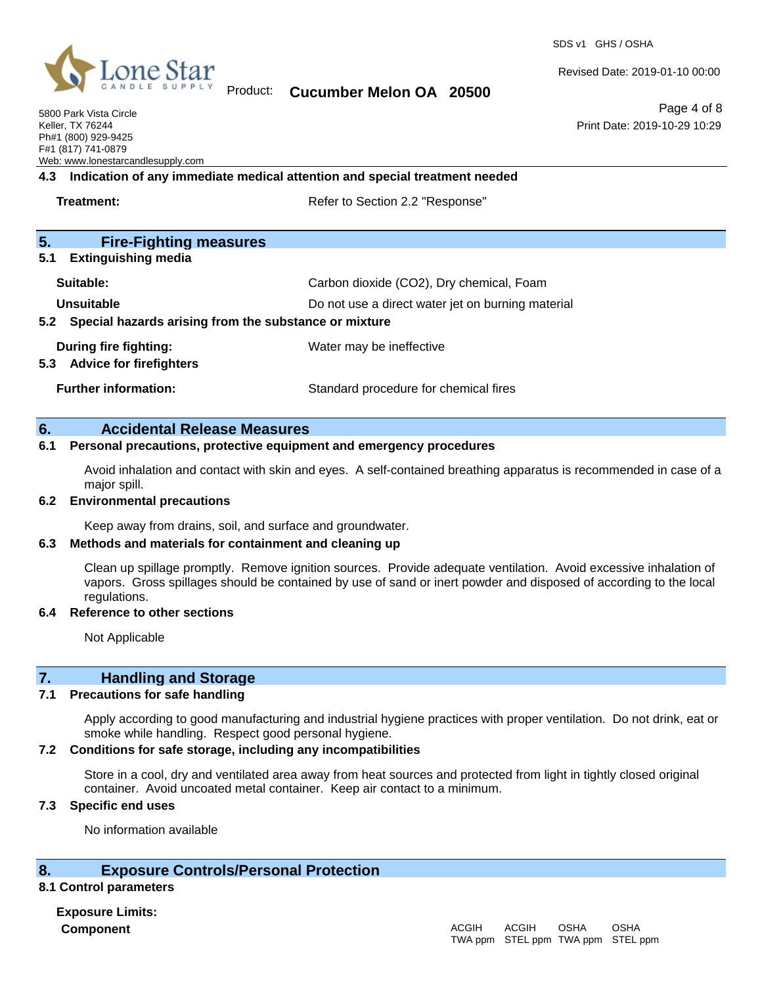

### Product: **Cucumber Melon OA 20500**

Revised Date: 2019-01-10 00:00

5800 Park Vista Circle Keller, TX 76244 Ph#1 (800) 929-9425 F#1 (817) 741-0879 Web: www.lonestarcandlesupply.com

Page 4 of 8 Print Date: 2019-10-29 10:29

# **4.3 Indication of any immediate medical attention and special treatment needed**

**Treatment:** Treatment: Refer to Section 2.2 "Response"

# **5. Fire-Fighting measures**

**5.1 Extinguishing media**

| Suitable:                                                 | Carbon dioxide (CO2), Dry chemical, Foam          |  |
|-----------------------------------------------------------|---------------------------------------------------|--|
| Unsuitable                                                | Do not use a direct water jet on burning material |  |
| 5.2 Special hazards arising from the substance or mixture |                                                   |  |
| During fire fighting:                                     | Water may be ineffective                          |  |
| 5.3 Advice for firefighters                               |                                                   |  |
| <b>Further information:</b>                               | Standard procedure for chemical fires             |  |

#### **6. Accidental Release Measures**

#### **6.1 Personal precautions, protective equipment and emergency procedures**

Avoid inhalation and contact with skin and eyes. A self-contained breathing apparatus is recommended in case of a major spill.

#### **6.2 Environmental precautions**

Keep away from drains, soil, and surface and groundwater.

#### **6.3 Methods and materials for containment and cleaning up**

Clean up spillage promptly. Remove ignition sources. Provide adequate ventilation. Avoid excessive inhalation of vapors. Gross spillages should be contained by use of sand or inert powder and disposed of according to the local regulations.

#### **6.4 Reference to other sections**

Not Applicable

#### **7. Handling and Storage**

#### **7.1 Precautions for safe handling**

Apply according to good manufacturing and industrial hygiene practices with proper ventilation. Do not drink, eat or smoke while handling. Respect good personal hygiene.

#### **7.2 Conditions for safe storage, including any incompatibilities**

Store in a cool, dry and ventilated area away from heat sources and protected from light in tightly closed original container. Avoid uncoated metal container. Keep air contact to a minimum.

#### **7.3 Specific end uses**

No information available

### **8. Exposure Controls/Personal Protection**

#### **8.1 Control parameters**

**Exposure Limits: Component** ACGIH

#### TWA ppm STEL ppm TWA ppm STEL ppmACGIH OSHA OSHA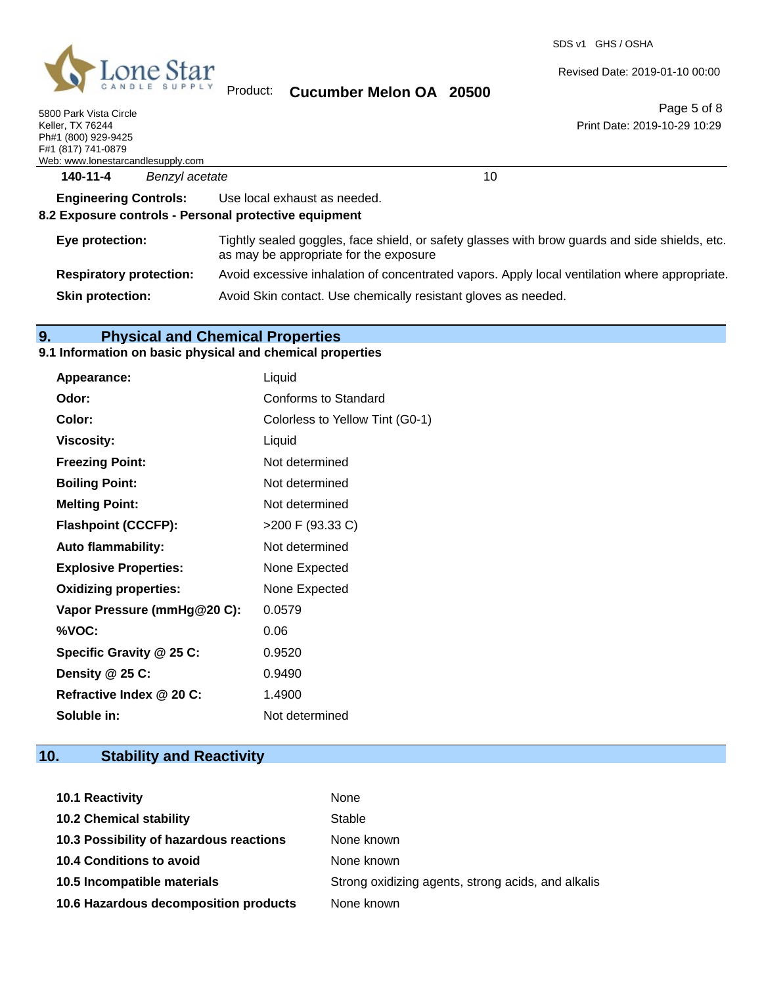

SDS v1 GHS / OSHA

Revised Date: 2019-01-10 00:00

Product: **Cucumber Melon OA 20500**

| 5800 Park Vista Circle            |  |
|-----------------------------------|--|
| Keller. TX 76244                  |  |
| Ph#1 (800) 929-9425               |  |
| F#1 (817) 741-0879                |  |
| Web: www.lonestarcandlesupply.com |  |
|                                   |  |

Page 5 of 8 Print Date: 2019-10-29 10:29

| eb: www.lonestarcandlesupply.com |                |  |
|----------------------------------|----------------|--|
| 140-11-4                         | Benzyl acetate |  |

**Engineering Controls:** Use local exhaust as needed.

#### **8.2 Exposure controls - Personal protective equipment**

| Eye protection:                | Tightly sealed goggles, face shield, or safety glasses with brow guards and side shields, etc.<br>as may be appropriate for the exposure |
|--------------------------------|------------------------------------------------------------------------------------------------------------------------------------------|
| <b>Respiratory protection:</b> | Avoid excessive inhalation of concentrated vapors. Apply local ventilation where appropriate.                                            |
| <b>Skin protection:</b>        | Avoid Skin contact. Use chemically resistant gloves as needed.                                                                           |

# **9. Physical and Chemical Properties**

#### **9.1 Information on basic physical and chemical properties**

| Appearance:                  | Liquid                          |
|------------------------------|---------------------------------|
| Odor:                        | Conforms to Standard            |
| Color:                       | Colorless to Yellow Tint (G0-1) |
| <b>Viscosity:</b>            | Liquid                          |
| <b>Freezing Point:</b>       | Not determined                  |
| <b>Boiling Point:</b>        | Not determined                  |
| <b>Melting Point:</b>        | Not determined                  |
| <b>Flashpoint (CCCFP):</b>   | >200 F (93.33 C)                |
| <b>Auto flammability:</b>    | Not determined                  |
| <b>Explosive Properties:</b> | None Expected                   |
| <b>Oxidizing properties:</b> | None Expected                   |
| Vapor Pressure (mmHg@20 C):  | 0.0579                          |
| %VOC:                        | 0.06                            |
| Specific Gravity @ 25 C:     | 0.9520                          |
| Density $@25C$ :             | 0.9490                          |
| Refractive Index @ 20 C:     | 1.4900                          |
| Soluble in:                  | Not determined                  |
|                              |                                 |

# **10. Stability and Reactivity**

| <b>10.1 Reactivity</b>                  | None                                               |
|-----------------------------------------|----------------------------------------------------|
| <b>10.2 Chemical stability</b>          | Stable                                             |
| 10.3 Possibility of hazardous reactions | None known                                         |
| <b>10.4 Conditions to avoid</b>         | None known                                         |
| 10.5 Incompatible materials             | Strong oxidizing agents, strong acids, and alkalis |
| 10.6 Hazardous decomposition products   | None known                                         |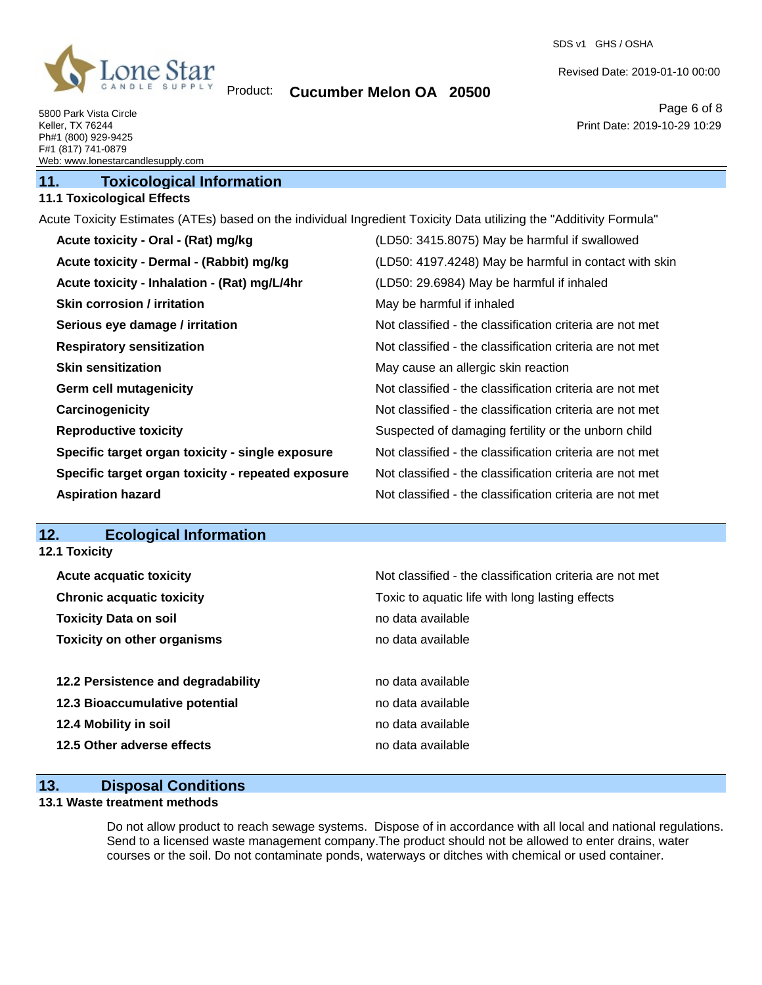

### Product: **Cucumber Melon OA 20500**

SDS v1 GHS / OSHA

Revised Date: 2019-01-10 00:00

Print Date: 2019-10-29 10:29

Page 6 of 8

5800 Park Vista Circle Keller, TX 76244 Ph#1 (800) 929-9425 F#1 (817) 741-0879 Web: www.lonestarcandlesupply.com

# **11. Toxicological Information**

# **11.1 Toxicological Effects**

Acute Toxicity Estimates (ATEs) based on the individual Ingredient Toxicity Data utilizing the "Additivity Formula"

| Acute toxicity - Oral - (Rat) mg/kg                | (LD50: 3415.8075) May be harmful if swallowed            |
|----------------------------------------------------|----------------------------------------------------------|
| Acute toxicity - Dermal - (Rabbit) mg/kg           | (LD50: 4197.4248) May be harmful in contact with skin    |
| Acute toxicity - Inhalation - (Rat) mg/L/4hr       | (LD50: 29.6984) May be harmful if inhaled                |
| <b>Skin corrosion / irritation</b>                 | May be harmful if inhaled                                |
| Serious eye damage / irritation                    | Not classified - the classification criteria are not met |
| <b>Respiratory sensitization</b>                   | Not classified - the classification criteria are not met |
| <b>Skin sensitization</b>                          | May cause an allergic skin reaction                      |
| <b>Germ cell mutagenicity</b>                      | Not classified - the classification criteria are not met |
| Carcinogenicity                                    | Not classified - the classification criteria are not met |
| <b>Reproductive toxicity</b>                       | Suspected of damaging fertility or the unborn child      |
| Specific target organ toxicity - single exposure   | Not classified - the classification criteria are not met |
| Specific target organ toxicity - repeated exposure | Not classified - the classification criteria are not met |
| <b>Aspiration hazard</b>                           | Not classified - the classification criteria are not met |

# **12. Ecological Information**

**12.1 Toxicity**

| <b>Acute acquatic toxicity</b>     | Not classified - the classification criteria are not met |
|------------------------------------|----------------------------------------------------------|
| <b>Chronic acquatic toxicity</b>   | Toxic to aquatic life with long lasting effects          |
| <b>Toxicity Data on soil</b>       | no data available                                        |
| <b>Toxicity on other organisms</b> | no data available                                        |
| 12.2 Persistence and degradability | no data available                                        |
| 12.3 Bioaccumulative potential     | no data available                                        |
| 12.4 Mobility in soil              | no data available                                        |
| 12.5 Other adverse effects         | no data available                                        |

#### **13. Disposal Conditions**

#### **13.1 Waste treatment methods**

Do not allow product to reach sewage systems. Dispose of in accordance with all local and national regulations. Send to a licensed waste management company.The product should not be allowed to enter drains, water courses or the soil. Do not contaminate ponds, waterways or ditches with chemical or used container.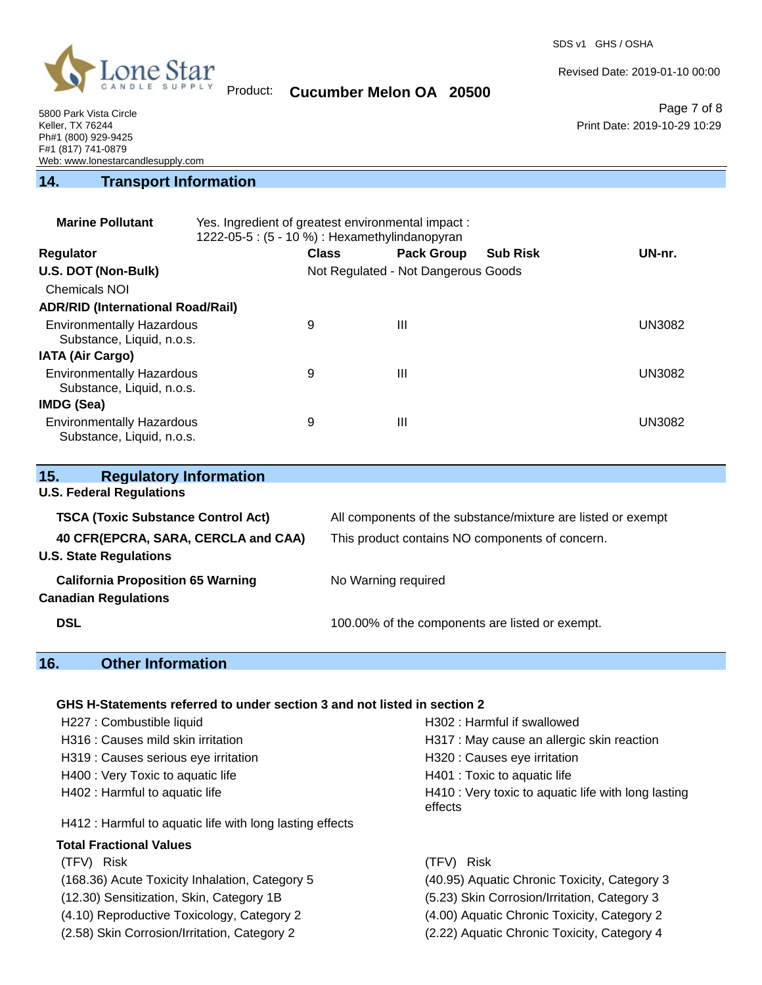

Revised Date: 2019-01-10 00:00

Product: **Cucumber Melon OA 20500**

5800 Park Vista Circle Keller, TX 76244 Ph#1 (800) 929-9425 F#1 (817) 741-0879 Web: www.lonestarcandlesupply.com

Page 7 of 8 Print Date: 2019-10-29 10:29

#### **14. Transport Information**

| <b>Marine Pollutant</b>                                       | Yes. Ingredient of greatest environmental impact:<br>1222-05-5: (5 - 10 %) : Hexamethylindanopyran |              |                                     |                 |               |
|---------------------------------------------------------------|----------------------------------------------------------------------------------------------------|--------------|-------------------------------------|-----------------|---------------|
| <b>Regulator</b>                                              |                                                                                                    | <b>Class</b> | <b>Pack Group</b>                   | <b>Sub Risk</b> | UN-nr.        |
| U.S. DOT (Non-Bulk)                                           |                                                                                                    |              | Not Regulated - Not Dangerous Goods |                 |               |
| <b>Chemicals NOI</b>                                          |                                                                                                    |              |                                     |                 |               |
| <b>ADR/RID (International Road/Rail)</b>                      |                                                                                                    |              |                                     |                 |               |
| <b>Environmentally Hazardous</b><br>Substance, Liquid, n.o.s. |                                                                                                    | 9            | Ш                                   |                 | <b>UN3082</b> |
| <b>IATA (Air Cargo)</b>                                       |                                                                                                    |              |                                     |                 |               |
| <b>Environmentally Hazardous</b><br>Substance, Liquid, n.o.s. |                                                                                                    | 9            | Ш                                   |                 | <b>UN3082</b> |
| IMDG (Sea)                                                    |                                                                                                    |              |                                     |                 |               |
| <b>Environmentally Hazardous</b><br>Substance, Liquid, n.o.s. |                                                                                                    | 9            | Ш                                   |                 | UN3082        |

| <b>Regulatory Information</b><br>15.      |                                                              |
|-------------------------------------------|--------------------------------------------------------------|
| <b>U.S. Federal Regulations</b>           |                                                              |
| <b>TSCA (Toxic Substance Control Act)</b> | All components of the substance/mixture are listed or exempt |
| 40 CFR(EPCRA, SARA, CERCLA and CAA)       | This product contains NO components of concern.              |
| <b>U.S. State Regulations</b>             |                                                              |
| <b>California Proposition 65 Warning</b>  | No Warning required                                          |
| <b>Canadian Regulations</b>               |                                                              |
| <b>DSL</b>                                | 100.00% of the components are listed or exempt.              |

# **16. Other Information**

#### **GHS H-Statements referred to under section 3 and not listed in section 2**

| H227 : Combustible liquid                                | H302: Harmful if swallowed                                     |
|----------------------------------------------------------|----------------------------------------------------------------|
| H316 : Causes mild skin irritation                       | H317 : May cause an allergic skin reaction                     |
| H319 : Causes serious eye irritation                     | H320 : Causes eye irritation                                   |
| H400 : Very Toxic to aquatic life                        | H401 : Toxic to aquatic life                                   |
| H402 : Harmful to aquatic life                           | H410 : Very toxic to aquatic life with long lasting<br>effects |
| H412 : Harmful to aquatic life with long lasting effects |                                                                |
| <b>Total Fractional Values</b>                           |                                                                |
| (TFV) Risk                                               | (TFV) Risk                                                     |
| (168.36) Acute Toxicity Inhalation, Category 5           | (40.95) Aquatic Chronic Toxicity, Category 3                   |
| (12.30) Sensitization, Skin, Category 1B                 | (5.23) Skin Corrosion/Irritation, Category 3                   |
| (4.10) Reproductive Toxicology, Category 2               | (4.00) Aquatic Chronic Toxicity, Category 2                    |

(2.58) Skin Corrosion/Irritation, Category 2 (2.22) Aquatic Chronic Toxicity, Category 4